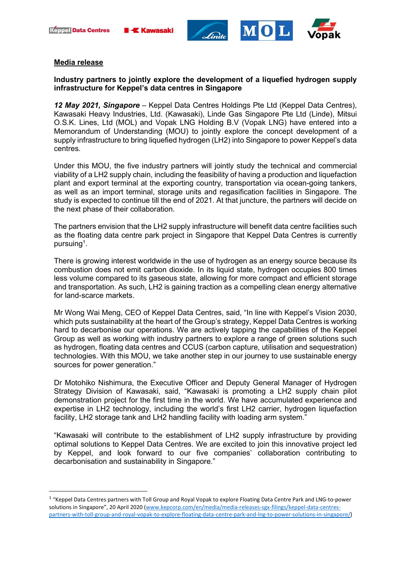





## Media release

# Industry partners to jointly explore the development of a liquefied hydrogen supply infrastructure for Keppel's data centres in Singapore

12 May 2021, Singapore – Keppel Data Centres Holdings Pte Ltd (Keppel Data Centres), Kawasaki Heavy Industries, Ltd. (Kawasaki), Linde Gas Singapore Pte Ltd (Linde), Mitsui O.S.K. Lines, Ltd (MOL) and Vopak LNG Holding B.V (Vopak LNG) have entered into a Memorandum of Understanding (MOU) to jointly explore the concept development of a supply infrastructure to bring liquefied hydrogen (LH2) into Singapore to power Keppel's data centres.

Under this MOU, the five industry partners will jointly study the technical and commercial viability of a LH2 supply chain, including the feasibility of having a production and liquefaction plant and export terminal at the exporting country, transportation via ocean-going tankers, as well as an import terminal, storage units and regasification facilities in Singapore. The study is expected to continue till the end of 2021. At that juncture, the partners will decide on the next phase of their collaboration.

The partners envision that the LH2 supply infrastructure will benefit data centre facilities such as the floating data centre park project in Singapore that Keppel Data Centres is currently pursuing $^{\rm 1}.$ 

There is growing interest worldwide in the use of hydrogen as an energy source because its combustion does not emit carbon dioxide. In its liquid state, hydrogen occupies 800 times less volume compared to its gaseous state, allowing for more compact and efficient storage and transportation. As such, LH2 is gaining traction as a compelling clean energy alternative for land-scarce markets.

Mr Wong Wai Meng, CEO of Keppel Data Centres, said, "In line with Keppel's Vision 2030, which puts sustainability at the heart of the Group's strategy, Keppel Data Centres is working hard to decarbonise our operations. We are actively tapping the capabilities of the Keppel Group as well as working with industry partners to explore a range of green solutions such as hydrogen, floating data centres and CCUS (carbon capture, utilisation and sequestration) technologies. With this MOU, we take another step in our journey to use sustainable energy sources for power generation."

Dr Motohiko Nishimura, the Executive Officer and Deputy General Manager of Hydrogen Strategy Division of Kawasaki, said, "Kawasaki is promoting a LH2 supply chain pilot demonstration project for the first time in the world. We have accumulated experience and expertise in LH2 technology, including the world's first LH2 carrier, hydrogen liquefaction facility, LH2 storage tank and LH2 handling facility with loading arm system."

"Kawasaki will contribute to the establishment of LH2 supply infrastructure by providing optimal solutions to Keppel Data Centres. We are excited to join this innovative project led by Keppel, and look forward to our five companies' collaboration contributing to decarbonisation and sustainability in Singapore."

<sup>1</sup> "Keppel Data Centres partners with Toll Group and Royal Vopak to explore Floating Data Centre Park and LNG-to-power solutions in Singapore", 20 April 2020 (www.kepcorp.com/en/media/media-releases-sgx-filings/keppel-data-centrespartners-with-toll-group-and-royal-vopak-to-explore-floating-data-centre-park-and-lng-to-power-solutions-in-singapore/)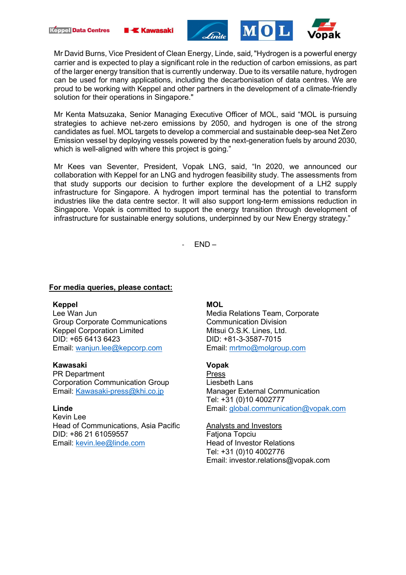





Mr David Burns, Vice President of Clean Energy, Linde, said, "Hydrogen is a powerful energy carrier and is expected to play a significant role in the reduction of carbon emissions, as part of the larger energy transition that is currently underway. Due to its versatile nature, hydrogen can be used for many applications, including the decarbonisation of data centres. We are proud to be working with Keppel and other partners in the development of a climate-friendly solution for their operations in Singapore."

Mr Kenta Matsuzaka, Senior Managing Executive Officer of MOL, said "MOL is pursuing strategies to achieve net-zero emissions by 2050, and hydrogen is one of the strong candidates as fuel. MOL targets to develop a commercial and sustainable deep-sea Net Zero Emission vessel by deploying vessels powered by the next-generation fuels by around 2030, which is well-aligned with where this project is going."

Mr Kees van Seventer, President, Vopak LNG, said, "In 2020, we announced our collaboration with Keppel for an LNG and hydrogen feasibility study. The assessments from that study supports our decision to further explore the development of a LH2 supply infrastructure for Singapore. A hydrogen import terminal has the potential to transform industries like the data centre sector. It will also support long-term emissions reduction in Singapore. Vopak is committed to support the energy transition through development of infrastructure for sustainable energy solutions, underpinned by our New Energy strategy."

 $FND -$ 

### For media queries, please contact:

#### Keppel

Lee Wan Jun Group Corporate Communications Keppel Corporation Limited DID: +65 6413 6423 Email: wanjun.lee@kepcorp.com

### Kawasaki

PR Department Corporation Communication Group Email: Kawasaki-press@khi.co.jp

### Linde

Kevin Lee Head of Communications, Asia Pacific DID: +86 21 61059557 Email: kevin.lee@linde.com

### MOL

Media Relations Team, Corporate Communication Division Mitsui O.S.K. Lines, Ltd. DID: +81-3-3587-7015 Email: mrtmo@molgroup.com

## Vopak

Press Liesbeth Lans Manager External Communication Tel: +31 (0)10 4002777 Email: global.communication@vopak.com

#### Analysts and Investors

**Fationa Topciu** Head of Investor Relations Tel: +31 (0)10 4002776 Email: investor.relations@vopak.com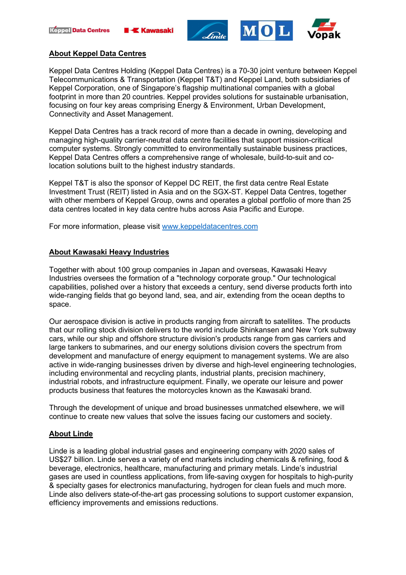





## About Keppel Data Centres

Keppel Data Centres Holding (Keppel Data Centres) is a 70-30 joint venture between Keppel Telecommunications & Transportation (Keppel T&T) and Keppel Land, both subsidiaries of Keppel Corporation, one of Singapore's flagship multinational companies with a global footprint in more than 20 countries. Keppel provides solutions for sustainable urbanisation, focusing on four key areas comprising Energy & Environment, Urban Development, Connectivity and Asset Management.

Keppel Data Centres has a track record of more than a decade in owning, developing and managing high-quality carrier-neutral data centre facilities that support mission-critical computer systems. Strongly committed to environmentally sustainable business practices, Keppel Data Centres offers a comprehensive range of wholesale, build-to-suit and colocation solutions built to the highest industry standards.

Keppel T&T is also the sponsor of Keppel DC REIT, the first data centre Real Estate Investment Trust (REIT) listed in Asia and on the SGX-ST. Keppel Data Centres, together with other members of Keppel Group, owns and operates a global portfolio of more than 25 data centres located in key data centre hubs across Asia Pacific and Europe.

For more information, please visit www.keppeldatacentres.com

# About Kawasaki Heavy Industries

Together with about 100 group companies in Japan and overseas, Kawasaki Heavy Industries oversees the formation of a "technology corporate group." Our technological capabilities, polished over a history that exceeds a century, send diverse products forth into wide-ranging fields that go beyond land, sea, and air, extending from the ocean depths to space.

Our aerospace division is active in products ranging from aircraft to satellites. The products that our rolling stock division delivers to the world include Shinkansen and New York subway cars, while our ship and offshore structure division's products range from gas carriers and large tankers to submarines, and our energy solutions division covers the spectrum from development and manufacture of energy equipment to management systems. We are also active in wide-ranging businesses driven by diverse and high-level engineering technologies, including environmental and recycling plants, industrial plants, precision machinery, industrial robots, and infrastructure equipment. Finally, we operate our leisure and power products business that features the motorcycles known as the Kawasaki brand.

Through the development of unique and broad businesses unmatched elsewhere, we will continue to create new values that solve the issues facing our customers and society.

# About Linde

Linde is a leading global industrial gases and engineering company with 2020 sales of US\$27 billion. Linde serves a variety of end markets including chemicals & refining, food & beverage, electronics, healthcare, manufacturing and primary metals. Linde's industrial gases are used in countless applications, from life-saving oxygen for hospitals to high-purity & specialty gases for electronics manufacturing, hydrogen for clean fuels and much more. Linde also delivers state-of-the-art gas processing solutions to support customer expansion, efficiency improvements and emissions reductions.